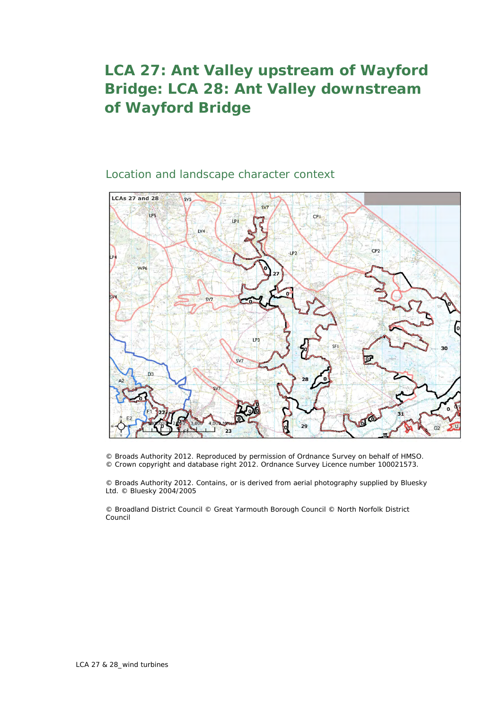## **LCA 27: Ant Valley upstream of Wayford Bridge: LCA 28: Ant Valley downstream of Wayford Bridge**

## Location and landscape character context



© Broads Authority 2012. Reproduced by permission of Ordnance Survey on behalf of HMSO. © Crown copyright and database right 2012. Ordnance Survey Licence number 100021573.

© Broads Authority 2012. Contains, or is derived from aerial photography supplied by Bluesky Ltd. © Bluesky 2004/2005

© Broadland District Council © Great Yarmouth Borough Council © North Norfolk District Council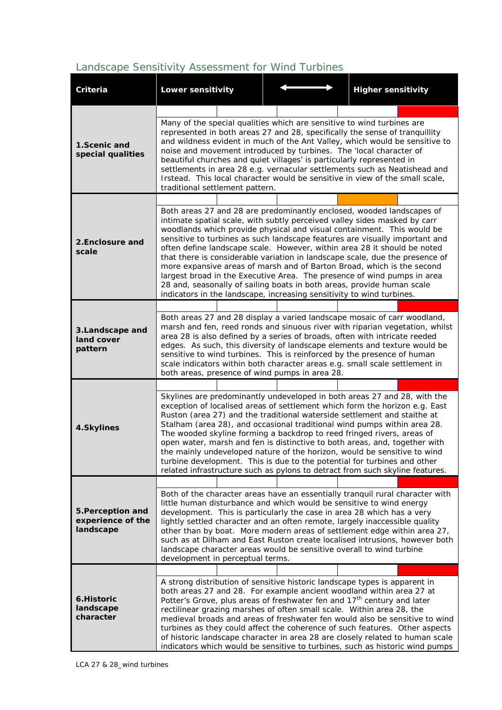## *Landscape Sensitivity Assessment for Wind Turbines*

| <b>Criteria</b>                                                                                                                                                                                                                                                                                                                                                                                                                                                                                                                                                                                                                                                                                                               | <b>Lower sensitivity</b>                                                                                                                                                                                                                                                                                                                                                                                                                                                                                                                                                                                                                                                                                                                                                        |  |  | <b>Higher sensitivity</b> |  |  |  |  |  |
|-------------------------------------------------------------------------------------------------------------------------------------------------------------------------------------------------------------------------------------------------------------------------------------------------------------------------------------------------------------------------------------------------------------------------------------------------------------------------------------------------------------------------------------------------------------------------------------------------------------------------------------------------------------------------------------------------------------------------------|---------------------------------------------------------------------------------------------------------------------------------------------------------------------------------------------------------------------------------------------------------------------------------------------------------------------------------------------------------------------------------------------------------------------------------------------------------------------------------------------------------------------------------------------------------------------------------------------------------------------------------------------------------------------------------------------------------------------------------------------------------------------------------|--|--|---------------------------|--|--|--|--|--|
|                                                                                                                                                                                                                                                                                                                                                                                                                                                                                                                                                                                                                                                                                                                               |                                                                                                                                                                                                                                                                                                                                                                                                                                                                                                                                                                                                                                                                                                                                                                                 |  |  |                           |  |  |  |  |  |
| 1.Scenic and<br>special qualities                                                                                                                                                                                                                                                                                                                                                                                                                                                                                                                                                                                                                                                                                             | Many of the special qualities which are sensitive to wind turbines are<br>represented in both areas 27 and 28, specifically the sense of tranquillity<br>and wildness evident in much of the Ant Valley, which would be sensitive to<br>noise and movement introduced by turbines. The 'local character of<br>beautiful churches and quiet villages' is particularly represented in<br>settlements in area 28 e.g. vernacular settlements such as Neatishead and<br>Irstead. This local character would be sensitive in view of the small scale,<br>traditional settlement pattern.                                                                                                                                                                                             |  |  |                           |  |  |  |  |  |
|                                                                                                                                                                                                                                                                                                                                                                                                                                                                                                                                                                                                                                                                                                                               |                                                                                                                                                                                                                                                                                                                                                                                                                                                                                                                                                                                                                                                                                                                                                                                 |  |  |                           |  |  |  |  |  |
| 2.Enclosure and<br>scale                                                                                                                                                                                                                                                                                                                                                                                                                                                                                                                                                                                                                                                                                                      | Both areas 27 and 28 are predominantly enclosed, wooded landscapes of<br>intimate spatial scale, with subtly perceived valley sides masked by carr<br>woodlands which provide physical and visual containment. This would be<br>sensitive to turbines as such landscape features are visually important and<br>often define landscape scale. However, within area 28 it should be noted<br>that there is considerable variation in landscape scale, due the presence of<br>more expansive areas of marsh and of Barton Broad, which is the second<br>largest broad in the Executive Area. The presence of wind pumps in area<br>28 and, seasonally of sailing boats in both areas, provide human scale<br>indicators in the landscape, increasing sensitivity to wind turbines. |  |  |                           |  |  |  |  |  |
|                                                                                                                                                                                                                                                                                                                                                                                                                                                                                                                                                                                                                                                                                                                               |                                                                                                                                                                                                                                                                                                                                                                                                                                                                                                                                                                                                                                                                                                                                                                                 |  |  |                           |  |  |  |  |  |
| 3.Landscape and<br>land cover<br>pattern                                                                                                                                                                                                                                                                                                                                                                                                                                                                                                                                                                                                                                                                                      | Both areas 27 and 28 display a varied landscape mosaic of carr woodland,<br>marsh and fen, reed ronds and sinuous river with riparian vegetation, whilst<br>area 28 is also defined by a series of broads, often with intricate reeded<br>edges. As such, this diversity of landscape elements and texture would be<br>sensitive to wind turbines. This is reinforced by the presence of human<br>scale indicators within both character areas e.g. small scale settlement in<br>both areas, presence of wind pumps in area 28.                                                                                                                                                                                                                                                 |  |  |                           |  |  |  |  |  |
|                                                                                                                                                                                                                                                                                                                                                                                                                                                                                                                                                                                                                                                                                                                               |                                                                                                                                                                                                                                                                                                                                                                                                                                                                                                                                                                                                                                                                                                                                                                                 |  |  |                           |  |  |  |  |  |
| Skylines are predominantly undeveloped in both areas 27 and 28, with the<br>exception of localised areas of settlement which form the horizon e.g. East<br>Ruston (area 27) and the traditional waterside settlement and staithe at<br>Stalham (area 28), and occasional traditional wind pumps within area 28.<br>4.Skylines<br>The wooded skyline forming a backdrop to reed fringed rivers, areas of<br>open water, marsh and fen is distinctive to both areas, and, together with<br>the mainly undeveloped nature of the horizon, would be sensitive to wind<br>turbine development. This is due to the potential for turbines and other<br>related infrastructure such as pylons to detract from such skyline features. |                                                                                                                                                                                                                                                                                                                                                                                                                                                                                                                                                                                                                                                                                                                                                                                 |  |  |                           |  |  |  |  |  |
|                                                                                                                                                                                                                                                                                                                                                                                                                                                                                                                                                                                                                                                                                                                               |                                                                                                                                                                                                                                                                                                                                                                                                                                                                                                                                                                                                                                                                                                                                                                                 |  |  |                           |  |  |  |  |  |
| 5. Perception and<br>experience of the<br>landscape                                                                                                                                                                                                                                                                                                                                                                                                                                                                                                                                                                                                                                                                           | Both of the character areas have an essentially tranquil rural character with<br>little human disturbance and which would be sensitive to wind energy<br>development. This is particularly the case in area 28 which has a very<br>lightly settled character and an often remote, largely inaccessible quality<br>other than by boat. More modern areas of settlement edge within area 27,<br>such as at Dilham and East Ruston create localised intrusions, however both<br>landscape character areas would be sensitive overall to wind turbine<br>development in perceptual terms.                                                                                                                                                                                           |  |  |                           |  |  |  |  |  |
|                                                                                                                                                                                                                                                                                                                                                                                                                                                                                                                                                                                                                                                                                                                               |                                                                                                                                                                                                                                                                                                                                                                                                                                                                                                                                                                                                                                                                                                                                                                                 |  |  |                           |  |  |  |  |  |
| 6.Historic<br>landscape<br>character                                                                                                                                                                                                                                                                                                                                                                                                                                                                                                                                                                                                                                                                                          | A strong distribution of sensitive historic landscape types is apparent in<br>both areas 27 and 28. For example ancient woodland within area 27 at<br>Potter's Grove, plus areas of freshwater fen and 17 <sup>th</sup> century and later<br>rectilinear grazing marshes of often small scale. Within area 28, the<br>medieval broads and areas of freshwater fen would also be sensitive to wind<br>turbines as they could affect the coherence of such features. Other aspects<br>of historic landscape character in area 28 are closely related to human scale<br>indicators which would be sensitive to turbines, such as historic wind pumps                                                                                                                               |  |  |                           |  |  |  |  |  |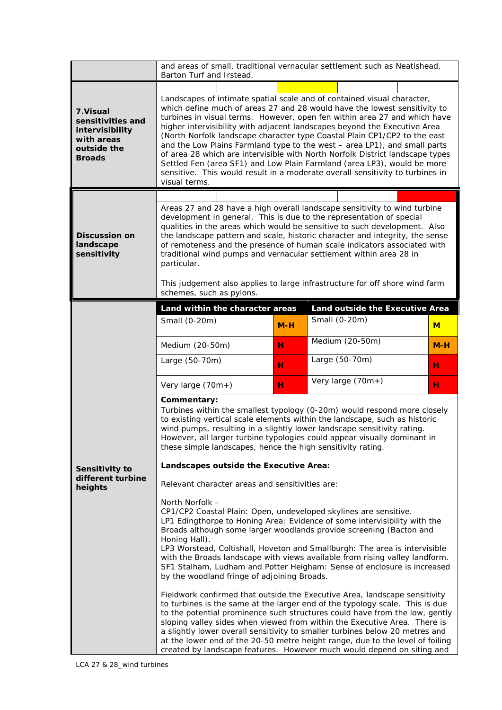|                                                                                                 | and areas of small, traditional vernacular settlement such as Neatishead,                                                                                                                                                                                                                                                                                                                                                                                                                                                                                                                                                                                                                                                              |       |                                 |       |  |  |  |  |
|-------------------------------------------------------------------------------------------------|----------------------------------------------------------------------------------------------------------------------------------------------------------------------------------------------------------------------------------------------------------------------------------------------------------------------------------------------------------------------------------------------------------------------------------------------------------------------------------------------------------------------------------------------------------------------------------------------------------------------------------------------------------------------------------------------------------------------------------------|-------|---------------------------------|-------|--|--|--|--|
|                                                                                                 | Barton Turf and Irstead.                                                                                                                                                                                                                                                                                                                                                                                                                                                                                                                                                                                                                                                                                                               |       |                                 |       |  |  |  |  |
| 7. Visual<br>sensitivities and<br>intervisibility<br>with areas<br>outside the<br><b>Broads</b> | Landscapes of intimate spatial scale and of contained visual character,<br>which define much of areas 27 and 28 would have the lowest sensitivity to<br>turbines in visual terms. However, open fen within area 27 and which have<br>higher intervisibility with adjacent landscapes beyond the Executive Area<br>(North Norfolk landscape character type Coastal Plain CP1/CP2 to the east<br>and the Low Plains Farmland type to the west - area LP1), and small parts<br>of area 28 which are intervisible with North Norfolk District landscape types<br>Settled Fen (area SF1) and Low Plain Farmland (area LP3), would be more<br>sensitive. This would result in a moderate overall sensitivity to turbines in<br>visual terms. |       |                                 |       |  |  |  |  |
|                                                                                                 |                                                                                                                                                                                                                                                                                                                                                                                                                                                                                                                                                                                                                                                                                                                                        |       |                                 |       |  |  |  |  |
| <b>Discussion on</b><br>landscape<br>sensitivity                                                | Areas 27 and 28 have a high overall landscape sensitivity to wind turbine<br>development in general. This is due to the representation of special<br>qualities in the areas which would be sensitive to such development. Also<br>the landscape pattern and scale, historic character and integrity, the sense<br>of remoteness and the presence of human scale indicators associated with<br>traditional wind pumps and vernacular settlement within area 28 in<br>particular.<br>This judgement also applies to large infrastructure for off shore wind farm<br>schemes, such as pylons.                                                                                                                                             |       |                                 |       |  |  |  |  |
|                                                                                                 | Land within the character areas                                                                                                                                                                                                                                                                                                                                                                                                                                                                                                                                                                                                                                                                                                        |       | Land outside the Executive Area |       |  |  |  |  |
|                                                                                                 | Small (0-20m)                                                                                                                                                                                                                                                                                                                                                                                                                                                                                                                                                                                                                                                                                                                          | $M-H$ | Small (0-20m)                   | $M$   |  |  |  |  |
|                                                                                                 | Medium (20-50m)                                                                                                                                                                                                                                                                                                                                                                                                                                                                                                                                                                                                                                                                                                                        | н     | Medium (20-50m)                 | $M-H$ |  |  |  |  |
|                                                                                                 | Large (50-70m)                                                                                                                                                                                                                                                                                                                                                                                                                                                                                                                                                                                                                                                                                                                         | н     | Large (50-70m)                  | н     |  |  |  |  |
|                                                                                                 | Very large (70m+)                                                                                                                                                                                                                                                                                                                                                                                                                                                                                                                                                                                                                                                                                                                      | н     | Very large (70m+)               | н     |  |  |  |  |
|                                                                                                 | Commentary:<br>Turbines within the smallest typology (0-20m) would respond more closely<br>to existing vertical scale elements within the landscape, such as historic<br>wind pumps, resulting in a slightly lower landscape sensitivity rating.<br>However, all larger turbine typologies could appear visually dominant in<br>these simple landscapes, hence the high sensitivity rating.                                                                                                                                                                                                                                                                                                                                            |       |                                 |       |  |  |  |  |
| Sensitivity to                                                                                  | Landscapes outside the Executive Area:                                                                                                                                                                                                                                                                                                                                                                                                                                                                                                                                                                                                                                                                                                 |       |                                 |       |  |  |  |  |
| different turbine<br>heights                                                                    | Relevant character areas and sensitivities are:                                                                                                                                                                                                                                                                                                                                                                                                                                                                                                                                                                                                                                                                                        |       |                                 |       |  |  |  |  |
|                                                                                                 | North Norfolk -<br>CP1/CP2 Coastal Plain: Open, undeveloped skylines are sensitive.<br>LP1 Edingthorpe to Honing Area: Evidence of some intervisibility with the<br>Broads although some larger woodlands provide screening (Bacton and<br>Honing Hall).<br>LP3 Worstead, Coltishall, Hoveton and Smallburgh: The area is intervisible<br>with the Broads landscape with views available from rising valley landform.<br>SF1 Stalham, Ludham and Potter Heigham: Sense of enclosure is increased<br>by the woodland fringe of adjoining Broads.                                                                                                                                                                                        |       |                                 |       |  |  |  |  |
|                                                                                                 | Fieldwork confirmed that outside the Executive Area, landscape sensitivity<br>to turbines is the same at the larger end of the typology scale. This is due<br>to the potential prominence such structures could have from the low, gently<br>sloping valley sides when viewed from within the Executive Area. There is<br>a slightly lower overall sensitivity to smaller turbines below 20 metres and<br>at the lower end of the 20-50 metre height range, due to the level of foiling<br>created by landscape features. However much would depend on siting and                                                                                                                                                                      |       |                                 |       |  |  |  |  |